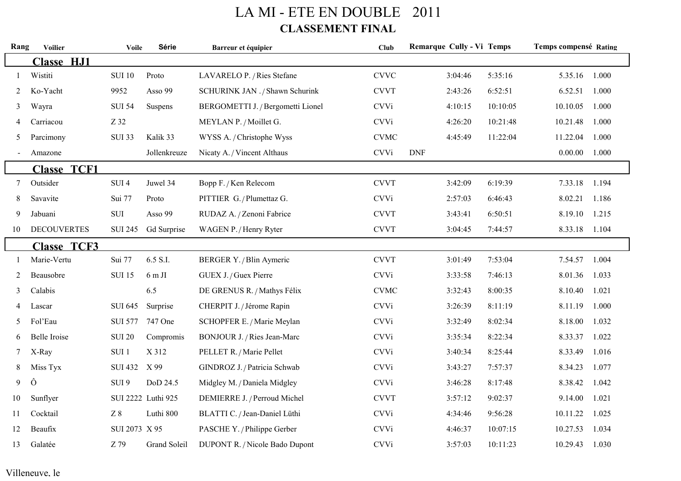## LA MI - ETE EN DOUBLE 2011 **CLASSEMENT FINAL**

| <b>Voilier</b>     |                  | <b>Série</b> | Barreur et équipier                                | <b>Club</b> |            |          |                           | <b>Temps compensé Rating</b> |  |
|--------------------|------------------|--------------|----------------------------------------------------|-------------|------------|----------|---------------------------|------------------------------|--|
| <b>Classe HJ1</b>  |                  |              |                                                    |             |            |          |                           |                              |  |
| Wistiti            | <b>SUI 10</b>    | Proto        | LAVARELO P. / Ries Stefane                         | <b>CVVC</b> | 3:04:46    | 5:35:16  | 5.35.16                   | 1.000                        |  |
| Ko-Yacht           | 9952             | Asso 99      | SCHURINK JAN ./ Shawn Schurink                     | <b>CVVT</b> | 2:43:26    | 6:52:51  | 6.52.51                   | 1.000                        |  |
| Wayra              | <b>SUI 54</b>    | Suspens      | BERGOMETTI J. / Bergometti Lionel                  | <b>CVVi</b> | 4:10:15    | 10:10:05 | 10.10.05                  | 1.000                        |  |
| Carriacou          | Z 32             |              | MEYLAN P. / Moillet G.                             | <b>CVVi</b> | 4:26:20    | 10:21:48 | 10.21.48                  | 1.000                        |  |
| Parcimony          | <b>SUI 33</b>    | Kalik 33     | WYSS A. / Christophe Wyss                          | <b>CVMC</b> | 4:45:49    | 11:22:04 | 11.22.04                  | 1.000                        |  |
| Amazone            |                  | Jollenkreuze | Nicaty A. / Vincent Althaus                        | <b>CVVi</b> | <b>DNF</b> |          | 0.00.00                   | 1.000                        |  |
| <b>Classe TCF1</b> |                  |              |                                                    |             |            |          |                           |                              |  |
| Outsider           | SUI <sub>4</sub> | Juwel 34     | Bopp F. / Ken Relecom                              | <b>CVVT</b> | 3:42:09    | 6:19:39  | 7.33.18                   | 1.194                        |  |
| Savavite           | Sui 77           | Proto        | PITTIER G./Plumettaz G.                            | <b>CVVi</b> | 2:57:03    | 6:46:43  | 8.02.21                   | 1.186                        |  |
| Jabuani            | $\rm SUI$        | Asso 99      | RUDAZ A. / Zenoni Fabrice                          | <b>CVVT</b> | 3:43:41    | 6:50:51  | 8.19.10                   | 1.215                        |  |
| <b>DECOUVERTES</b> | <b>SUI 245</b>   | Gd Surprise  | WAGEN P. / Henry Ryter                             | <b>CVVT</b> | 3:04:45    | 7:44:57  | 8.33.18                   | 1.104                        |  |
| <b>Classe TCF3</b> |                  |              |                                                    |             |            |          |                           |                              |  |
| Marie-Vertu        | Sui 77           | 6.5 S.I.     | BERGER Y. / Blin Aymeric                           | <b>CVVT</b> | 3:01:49    | 7:53:04  | 7.54.57                   | 1.004                        |  |
| Beausobre          | <b>SUI 15</b>    | $6m$ JI      | GUEX J./Guex Pierre                                | <b>CVVi</b> | 3:33:58    | 7:46:13  | 8.01.36                   | 1.033                        |  |
| Calabis            |                  | 6.5          | DE GRENUS R. / Mathys Félix                        | <b>CVMC</b> | 3:32:43    | 8:00:35  | 8.10.40                   | 1.021                        |  |
| Lascar             | <b>SUI 645</b>   | Surprise     | CHERPIT J. / Jérome Rapin                          | <b>CVVi</b> | 3:26:39    | 8:11:19  | 8.11.19                   | 1.000                        |  |
| Fol'Eau            | <b>SUI 577</b>   | 747 One      | SCHOPFER E. / Marie Meylan                         | <b>CVVi</b> | 3:32:49    | 8:02:34  | 8.18.00                   | 1.032                        |  |
| Belle Iroise       | <b>SUI 20</b>    | Compromis    | BONJOUR J. / Ries Jean-Marc                        | <b>CVVi</b> | 3:35:34    | 8:22:34  | 8.33.37                   | 1.022                        |  |
| X-Ray              | SUI 1            | X 312        | PELLET R. / Marie Pellet                           | <b>CVVi</b> | 3:40:34    | 8:25:44  | 8.33.49                   | 1.016                        |  |
| Miss Tyx           |                  |              | GINDROZ J. / Patricia Schwab                       | <b>CVVi</b> | 3:43:27    | 7:57:37  | 8.34.23                   | 1.077                        |  |
| Ô                  | SUI 9            | DoD 24.5     | Midgley M. / Daniela Midgley                       | <b>CVVi</b> | 3:46:28    | 8:17:48  | 8.38.42                   | 1.042                        |  |
| Sunflyer           |                  |              | DEMIERRE J. / Perroud Michel                       | <b>CVVT</b> | 3:57:12    | 9:02:37  | 9.14.00                   | 1.021                        |  |
| Cocktail           | $Z\ 8$           | Luthi 800    | BLATTI C. / Jean-Daniel Lüthi                      | <b>CVVi</b> | 4:34:46    | 9:56:28  | 10.11.22                  | 1.025                        |  |
|                    |                  |              |                                                    |             |            |          |                           | 1.034                        |  |
| Beaufix            |                  |              | PASCHE Y. / Philippe Gerber                        | <b>CVVi</b> | 4:46:37    | 10:07:15 | 10.27.53                  |                              |  |
|                    | Rang             |              | <b>Voile</b><br>SUI 432 X 99<br>SUI 2222 Luthi 925 |             |            |          | Remarque Cully - Vi Temps | SUI 2073 X 95                |  |

## Villeneuve, le